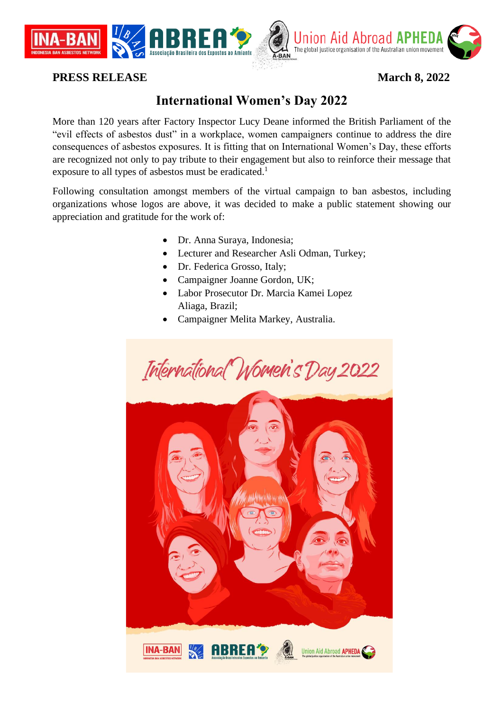

## **PRESS RELEASE March 8, 2022**

## **International Women's Day 2022**

More than 120 years after Factory Inspector Lucy Deane informed the British Parliament of the "evil effects of asbestos dust" in a workplace, women campaigners continue to address the dire consequences of asbestos exposures. It is fitting that on International Women's Day, these efforts are recognized not only to pay tribute to their engagement but also to reinforce their message that exposure to all types of asbestos must be eradicated.<sup>1</sup>

Following consultation amongst members of the virtual campaign to ban asbestos, including organizations whose logos are above, it was decided to make a public statement showing our appreciation and gratitude for the work of:

- Dr. Anna Suraya, Indonesia;
- Lecturer and Researcher Asli Odman, Turkey;
- Dr. Federica Grosso, Italy;
- Campaigner Joanne Gordon, UK;
- Labor Prosecutor Dr. Marcia Kamei Lopez Aliaga, Brazil;
- Campaigner Melita Markey, Australia.

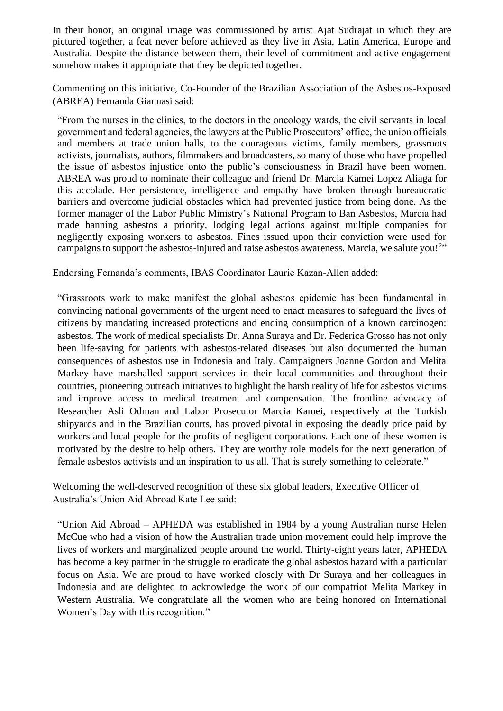In their honor, an original image was commissioned by artist Ajat Sudrajat in which they are pictured together, a feat never before achieved as they live in Asia, Latin America, Europe and Australia. Despite the distance between them, their level of commitment and active engagement somehow makes it appropriate that they be depicted together.

Commenting on this initiative, Co-Founder of the Brazilian Association of the Asbestos-Exposed (ABREA) Fernanda Giannasi said:

"From the nurses in the clinics, to the doctors in the oncology wards, the civil servants in local government and federal agencies, the lawyers at the Public Prosecutors' office, the union officials and members at trade union halls, to the courageous victims, family members, grassroots activists, journalists, authors, filmmakers and broadcasters, so many of those who have propelled the issue of asbestos injustice onto the public's consciousness in Brazil have been women. ABREA was proud to nominate their colleague and friend Dr. Marcia Kamei Lopez Aliaga for this accolade. Her persistence, intelligence and empathy have broken through bureaucratic barriers and overcome judicial obstacles which had prevented justice from being done. As the former manager of the Labor Public Ministry's National Program to Ban Asbestos, Marcia had made banning asbestos a priority, lodging legal actions against multiple companies for negligently exposing workers to asbestos. Fines issued upon their conviction were used for campaigns to support the asbestos-injured and raise asbestos awareness. Marcia, we salute you!<sup>2</sup>"

Endorsing Fernanda's comments, IBAS Coordinator Laurie Kazan-Allen added:

"Grassroots work to make manifest the global asbestos epidemic has been fundamental in convincing national governments of the urgent need to enact measures to safeguard the lives of citizens by mandating increased protections and ending consumption of a known carcinogen: asbestos. The work of medical specialists Dr. Anna Suraya and Dr. Federica Grosso has not only been life-saving for patients with asbestos-related diseases but also documented the human consequences of asbestos use in Indonesia and Italy. Campaigners Joanne Gordon and Melita Markey have marshalled support services in their local communities and throughout their countries, pioneering outreach initiatives to highlight the harsh reality of life for asbestos victims and improve access to medical treatment and compensation. The frontline advocacy of Researcher Asli Odman and Labor Prosecutor Marcia Kamei, respectively at the Turkish shipyards and in the Brazilian courts, has proved pivotal in exposing the deadly price paid by workers and local people for the profits of negligent corporations. Each one of these women is motivated by the desire to help others. They are worthy role models for the next generation of female asbestos activists and an inspiration to us all. That is surely something to celebrate."

Welcoming the well-deserved recognition of these six global leaders, Executive Officer of Australia's Union Aid Abroad Kate Lee said:

"Union Aid Abroad – APHEDA was established in 1984 by a young Australian nurse Helen McCue who had a vision of how the Australian trade union movement could help improve the lives of workers and marginalized people around the world. Thirty-eight years later, APHEDA has become a key partner in the struggle to eradicate the global asbestos hazard with a particular focus on Asia. We are proud to have worked closely with Dr Suraya and her colleagues in Indonesia and are delighted to acknowledge the work of our compatriot Melita Markey in Western Australia. We congratulate all the women who are being honored on International Women's Day with this recognition."